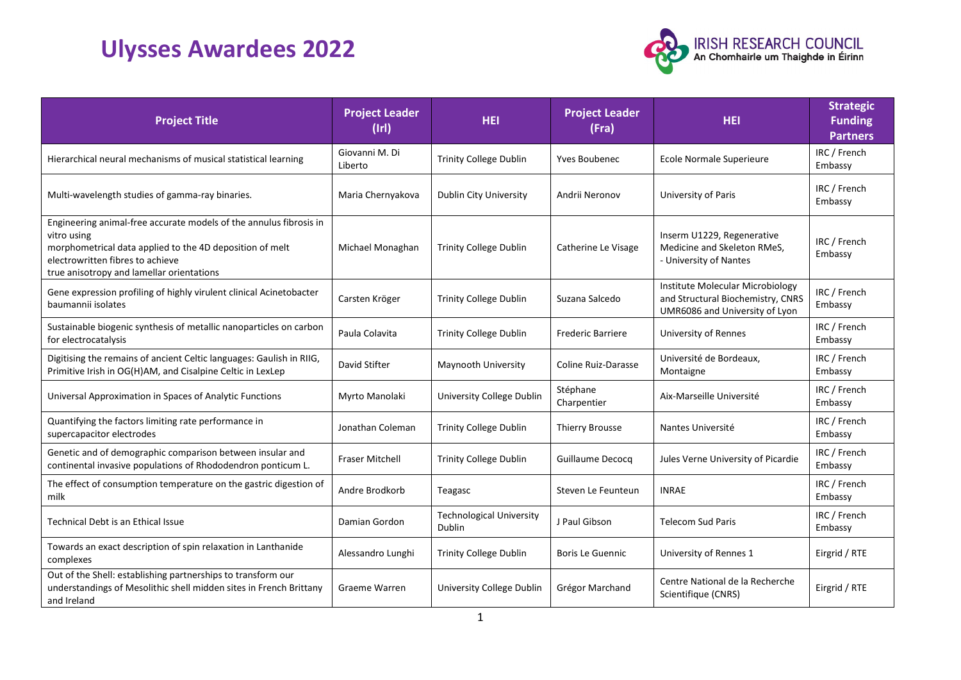## **Ulysses Awardees 2022**



| <b>Project Title</b>                                                                                                                                                                                                           | <b>Project Leader</b><br>$($ lrl $)$ | <b>HEI</b>                                | <b>Project Leader</b><br>(Fra) | <b>HEI</b>                                                                                              | <b>Strategic</b><br><b>Funding</b><br><b>Partners</b> |
|--------------------------------------------------------------------------------------------------------------------------------------------------------------------------------------------------------------------------------|--------------------------------------|-------------------------------------------|--------------------------------|---------------------------------------------------------------------------------------------------------|-------------------------------------------------------|
| Hierarchical neural mechanisms of musical statistical learning                                                                                                                                                                 | Giovanni M. Di<br>Liberto            | <b>Trinity College Dublin</b>             | <b>Yves Boubenec</b>           | Ecole Normale Superieure                                                                                | IRC / French<br>Embassy                               |
| Multi-wavelength studies of gamma-ray binaries.                                                                                                                                                                                | Maria Chernyakova                    | Dublin City University                    | Andrii Neronov                 | University of Paris                                                                                     | IRC / French<br>Embassy                               |
| Engineering animal-free accurate models of the annulus fibrosis in<br>vitro using<br>morphometrical data applied to the 4D deposition of melt<br>electrowritten fibres to achieve<br>true anisotropy and lamellar orientations | Michael Monaghan                     | <b>Trinity College Dublin</b>             | Catherine Le Visage            | Inserm U1229, Regenerative<br>Medicine and Skeleton RMeS,<br>- University of Nantes                     | IRC / French<br>Embassy                               |
| Gene expression profiling of highly virulent clinical Acinetobacter<br>baumannii isolates                                                                                                                                      | Carsten Kröger                       | Trinity College Dublin                    | Suzana Salcedo                 | Institute Molecular Microbiology<br>and Structural Biochemistry, CNRS<br>UMR6086 and University of Lyon | IRC / French<br>Embassy                               |
| Sustainable biogenic synthesis of metallic nanoparticles on carbon<br>for electrocatalysis                                                                                                                                     | Paula Colavita                       | Trinity College Dublin                    | <b>Frederic Barriere</b>       | <b>University of Rennes</b>                                                                             | IRC / French<br>Embassy                               |
| Digitising the remains of ancient Celtic languages: Gaulish in RIIG,<br>Primitive Irish in OG(H)AM, and Cisalpine Celtic in LexLep                                                                                             | David Stifter                        | Maynooth University                       | Coline Ruiz-Darasse            | Université de Bordeaux,<br>Montaigne                                                                    | IRC / French<br>Embassy                               |
| Universal Approximation in Spaces of Analytic Functions                                                                                                                                                                        | Myrto Manolaki                       | University College Dublin                 | Stéphane<br>Charpentier        | Aix-Marseille Université                                                                                | IRC / French<br>Embassy                               |
| Quantifying the factors limiting rate performance in<br>supercapacitor electrodes                                                                                                                                              | Jonathan Coleman                     | <b>Trinity College Dublin</b>             | <b>Thierry Brousse</b>         | Nantes Université                                                                                       | IRC / French<br>Embassy                               |
| Genetic and of demographic comparison between insular and<br>continental invasive populations of Rhododendron ponticum L.                                                                                                      | <b>Fraser Mitchell</b>               | <b>Trinity College Dublin</b>             | Guillaume Decocq               | Jules Verne University of Picardie                                                                      | IRC / French<br>Embassy                               |
| The effect of consumption temperature on the gastric digestion of<br>milk                                                                                                                                                      | Andre Brodkorb                       | Teagasc                                   | Steven Le Feunteun             | <b>INRAE</b>                                                                                            | IRC / French<br>Embassy                               |
| Technical Debt is an Ethical Issue                                                                                                                                                                                             | Damian Gordon                        | <b>Technological University</b><br>Dublin | J Paul Gibson                  | <b>Telecom Sud Paris</b>                                                                                | IRC / French<br>Embassy                               |
| Towards an exact description of spin relaxation in Lanthanide<br>complexes                                                                                                                                                     | Alessandro Lunghi                    | <b>Trinity College Dublin</b>             | <b>Boris Le Guennic</b>        | University of Rennes 1                                                                                  | Eirgrid / RTE                                         |
| Out of the Shell: establishing partnerships to transform our<br>understandings of Mesolithic shell midden sites in French Brittany<br>and Ireland                                                                              | Graeme Warren                        | University College Dublin                 | Grégor Marchand                | Centre National de la Recherche<br>Scientifique (CNRS)                                                  | Eirgrid / RTE                                         |